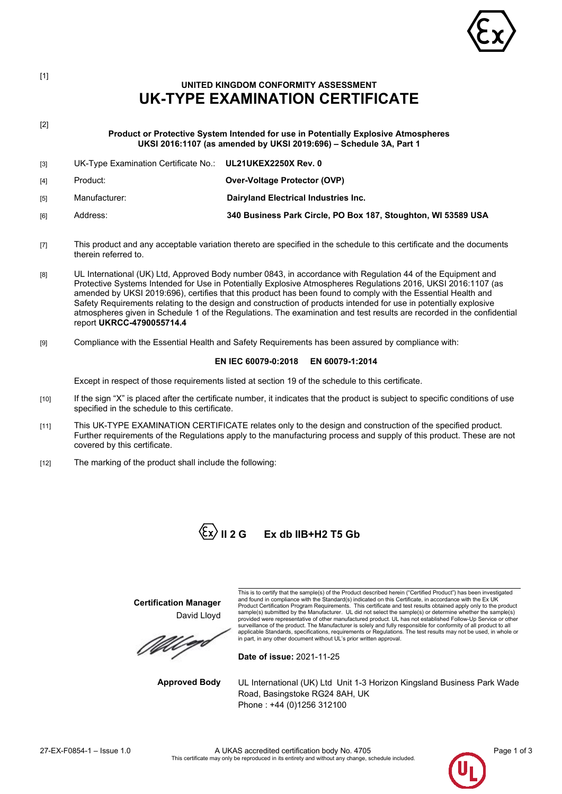

## **UNITED KINGDOM CONFORMITY ASSESSMENT UK-TYPE EXAMINATION CERTIFICATE**

[2] **Product or Protective System Intended for use in Potentially Explosive Atmospheres UKSI 2016:1107 (as amended by UKSI 2019:696) – Schedule 3A, Part 1**

- [3] UK-Type Examination Certificate No.: **UL21UKEX2250X Rev. 0** [4] Product: **Over-Voltage Protector (OVP)**
- [5] Manufacturer: **Dairyland Electrical Industries Inc.**
- [6] Address: **340 Business Park Circle, PO Box 187, Stoughton, WI 53589 USA**
- [7] This product and any acceptable variation thereto are specified in the schedule to this certificate and the documents therein referred to.
- [8] UL International (UK) Ltd, Approved Body number 0843, in accordance with Regulation 44 of the Equipment and Protective Systems Intended for Use in Potentially Explosive Atmospheres Regulations 2016, UKSI 2016:1107 (as amended by UKSI 2019:696), certifies that this product has been found to comply with the Essential Health and Safety Requirements relating to the design and construction of products intended for use in potentially explosive atmospheres given in Schedule 1 of the Regulations. The examination and test results are recorded in the confidential report **UKRCC-4790055714.4**
- [9] Compliance with the Essential Health and Safety Requirements has been assured by compliance with:

## **EN IEC 60079-0:2018 EN 60079-1:2014**

Except in respect of those requirements listed at section 19 of the schedule to this certificate.

- [10] If the sign "X" is placed after the certificate number, it indicates that the product is subject to specific conditions of use specified in the schedule to this certificate.
- [11] This UK-TYPE EXAMINATION CERTIFICATE relates only to the design and construction of the specified product. Further requirements of the Regulations apply to the manufacturing process and supply of this product. These are not covered by this certificate.
- [12] The marking of the product shall include the following:



# **II 2 G Ex db IIB+H2 T5 Gb**

**Certification Manager** David Lloyd

MU P

This is to certify that the sample(s) of the Product described herein ("Certified Product") has been investigated and found in compliance with the Standard(s) indicated on this Certificate, in accordance with the Ex UK<br>Product Certification Program Requirements. This certificate and test results obtained apply only to the product<br>sam provided were representative of other manufactured product. UL has not established Follow-Up Service or other surveillance of the product. The Manufacturer is solely and fully responsible for conformity of all product to all<br>applicable Standards, specifications, requirements or Regulations. The test results may not be used, in who

**Date of issue:** 2021-11-25

**Approved Body** UL International (UK) Ltd Unit 1-3 Horizon Kingsland Business Park Wade Road, Basingstoke RG24 8AH, UK Phone : +44 (0)1256 312100



[1]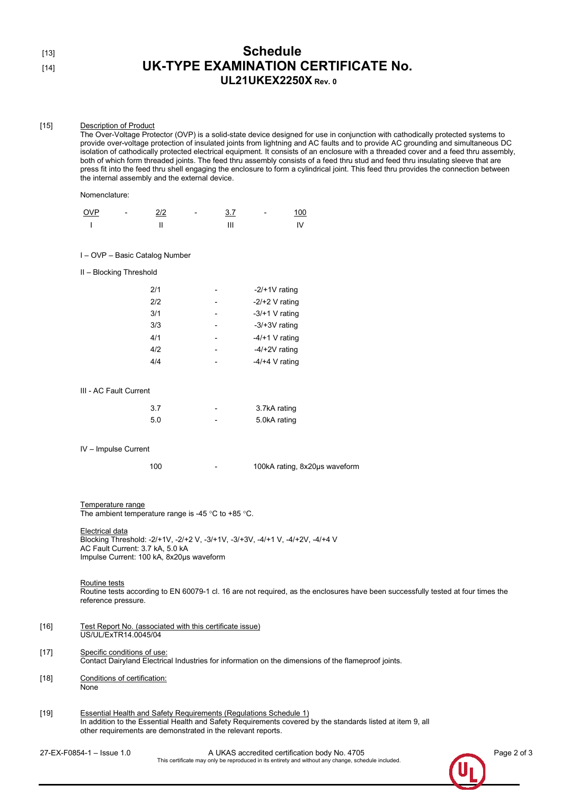| ۰ | I<br>×<br>۰. |  |
|---|--------------|--|
|   |              |  |

## Schedule [14] **UK-TYPE EXAMINATION CERTIFICATE No. UL21UKEX2250X Rev. 0**

#### [15] Description of Product

The Over-Voltage Protector (OVP) is a solid-state device designed for use in conjunction with cathodically protected systems to provide over-voltage protection of insulated joints from lightning and AC faults and to provide AC grounding and simultaneous DC isolation of cathodically protected electrical equipment. It consists of an enclosure with a threaded cover and a feed thru assembly, both of which form threaded joints. The feed thru assembly consists of a feed thru stud and feed thru insulating sleeve that are press fit into the feed thru shell engaging the enclosure to form a cylindrical joint. This feed thru provides the connection between the internal assembly and the external device.

#### Nomenclature:

| <b>OVP</b> | $\overline{\phantom{0}}$ | $\frac{2}{2}$ | $\overline{\phantom{0}}$ | 3.7 | $\overline{\phantom{0}}$ | <u>100</u> |
|------------|--------------------------|---------------|--------------------------|-----|--------------------------|------------|
|            |                          |               |                          |     |                          |            |

#### I – OVP – Basic Catalog Number

II – Blocking Threshold

| 2/1 | $-2/+1V$ rating  |
|-----|------------------|
| 2/2 | $-2/+2$ V rating |
| 3/1 | $-3/+1$ V rating |
| 3/3 | $-3/+3V$ rating  |
| 4/1 | $-4/+1$ V rating |
| 4/2 | $-4/+2V$ rating  |
| 4/4 | $-4/+4$ V rating |
|     |                  |

#### III - AC Fault Current

| 3.7 | 3.7kA rating |
|-----|--------------|
| 5.0 | 5.0kA rating |

IV – Impulse Current

100 - 100kA rating, 8x20μs waveform

Temperature range The ambient temperature range is -45 °C to +85 °C.

Electrical data Blocking Threshold: -2/+1V, -2/+2 V, -3/+1V, -3/+3V, -4/+1 V, -4/+2V, -4/+4 V AC Fault Current: 3.7 kA, 5.0 kA Impulse Current: 100 kA, 8x20μs waveform

## Routine tests

Routine tests according to EN 60079-1 cl. 16 are not required, as the enclosures have been successfully tested at four times the reference pressure.

- [16] Test Report No. (associated with this certificate issue) US/UL/ExTR14.0045/04
- [17] Specific conditions of use: Contact Dairyland Electrical Industries for information on the dimensions of the flameproof joints.
- [18] Conditions of certification: None
- [19] Essential Health and Safety Requirements (Regulations Schedule 1) In addition to the Essential Health and Safety Requirements covered by the standards listed at item 9, all other requirements are demonstrated in the relevant reports.

27-EX-F0854-1 – Issue 1.0 A UKAS accredited certification body No. 4705 Page 2 of 3 This certificate may only be reproduced in its entirety and without any change, schedule included.